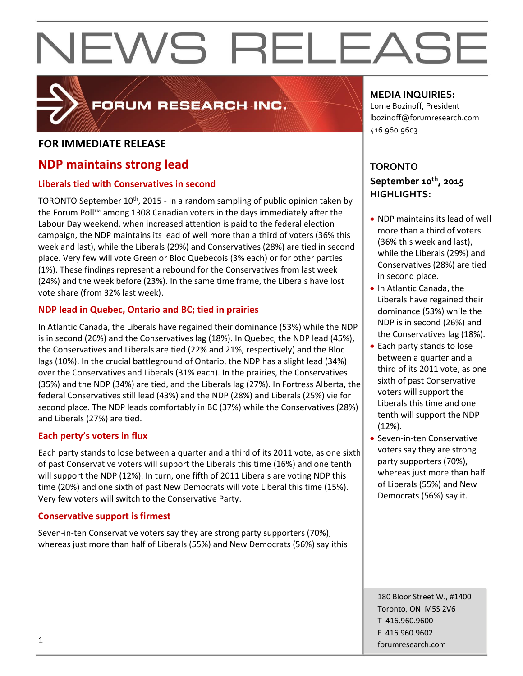

### FORUM RESEARCH INC.

### **FOR IMMEDIATE RELEASE**

### **NDP maintains strong lead**

### **Liberals tied with Conservatives in second**

TORONTO September 10<sup>th</sup>, 2015 - In a random sampling of public opinion taken by the Forum Poll™ among 1308 Canadian voters in the days immediately after the Labour Day weekend, when increased attention is paid to the federal election campaign, the NDP maintains its lead of well more than a third of voters (36% this week and last), while the Liberals (29%) and Conservatives (28%) are tied in second place. Very few will vote Green or Bloc Quebecois (3% each) or for other parties (1%). These findings represent a rebound for the Conservatives from last week (24%) and the week before (23%). In the same time frame, the Liberals have lost vote share (from 32% last week).

### **NDP lead in Quebec, Ontario and BC; tied in prairies**

In Atlantic Canada, the Liberals have regained their dominance (53%) while the NDP is in second (26%) and the Conservatives lag (18%). In Quebec, the NDP lead (45%), the Conservatives and Liberals are tied (22% and 21%, respectively) and the Bloc lags (10%). In the crucial battleground of Ontario, the NDP has a slight lead (34%) over the Conservatives and Liberals (31% each). In the prairies, the Conservatives (35%) and the NDP (34%) are tied, and the Liberals lag (27%). In Fortress Alberta, the federal Conservatives still lead (43%) and the NDP (28%) and Liberals (25%) vie for second place. The NDP leads comfortably in BC (37%) while the Conservatives (28%) and Liberals (27%) are tied.

### **Each perty's voters in flux**

Each party stands to lose between a quarter and a third of its 2011 vote, as one sixth of past Conservative voters will support the Liberals this time (16%) and one tenth will support the NDP (12%). In turn, one fifth of 2011 Liberals are voting NDP this time (20%) and one sixth of past New Democrats will vote Liberal this time (15%). Very few voters will switch to the Conservative Party.

### **Conservative support is firmest**

Seven-in-ten Conservative voters say they are strong party supporters (70%), whereas just more than half of Liberals (55%) and New Democrats (56%) say ithis

### **MEDIA INQUIRIES:**

Lorne Bozinoff, President lbozinoff@forumresearch.com 416.960.9603

### **TORONTO September 10th, 2015 HIGHLIGHTS:**

- NDP maintains its lead of well more than a third of voters (36% this week and last), while the Liberals (29%) and Conservatives (28%) are tied in second place.
- In Atlantic Canada, the Liberals have regained their dominance (53%) while the NDP is in second (26%) and the Conservatives lag (18%).
- Each party stands to lose between a quarter and a third of its 2011 vote, as one sixth of past Conservative voters will support the Liberals this time and one tenth will support the NDP (12%).
- Seven-in-ten Conservative voters say they are strong party supporters (70%), whereas just more than half of Liberals (55%) and New Democrats (56%) say it.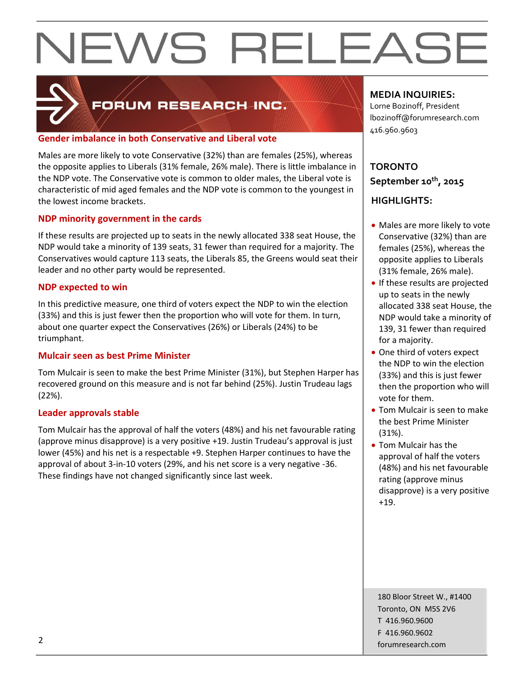

### FORUM RESEARCH INC.

### **Gender imbalance in both Conservative and Liberal vote**

Males are more likely to vote Conservative (32%) than are females (25%), whereas the opposite applies to Liberals (31% female, 26% male). There is little imbalance in the NDP vote. The Conservative vote is common to older males, the Liberal vote is characteristic of mid aged females and the NDP vote is common to the youngest in the lowest income brackets.

### **NDP minority government in the cards**

If these results are projected up to seats in the newly allocated 338 seat House, the NDP would take a minority of 139 seats, 31 fewer than required for a majority. The Conservatives would capture 113 seats, the Liberals 85, the Greens would seat their leader and no other party would be represented.

### **NDP expected to win**

In this predictive measure, one third of voters expect the NDP to win the election (33%) and this is just fewer then the proportion who will vote for them. In turn, about one quarter expect the Conservatives (26%) or Liberals (24%) to be triumphant.

### **Mulcair seen as best Prime Minister**

Tom Mulcair is seen to make the best Prime Minister (31%), but Stephen Harper has recovered ground on this measure and is not far behind (25%). Justin Trudeau lags (22%).

### **Leader approvals stable**

Tom Mulcair has the approval of half the voters (48%) and his net favourable rating (approve minus disapprove) is a very positive +19. Justin Trudeau's approval is just lower (45%) and his net is a respectable +9. Stephen Harper continues to have the approval of about 3-in-10 voters (29%, and his net score is a very negative -36. These findings have not changed significantly since last week.

### **MEDIA INQUIRIES:**

Lorne Bozinoff, President lbozinoff@forumresearch.com 416.960.9603

### **TORONTO September 10th, 2015**

### **HIGHLIGHTS:**

- Males are more likely to vote Conservative (32%) than are females (25%), whereas the opposite applies to Liberals (31% female, 26% male).
- If these results are projected up to seats in the newly allocated 338 seat House, the NDP would take a minority of 139, 31 fewer than required for a majority.
- One third of voters expect the NDP to win the election (33%) and this is just fewer then the proportion who will vote for them.
- Tom Mulcair is seen to make the best Prime Minister (31%).
- Tom Mulcair has the approval of half the voters (48%) and his net favourable rating (approve minus disapprove) is a very positive +19.

180 Bloor Street W., #1400 Toronto, ON M5S 2V6 T 416.960.9600 F 416.960.9602 example to the contract of the contract of the contract of the contract of the contract of the contract of the contract of the contract of the contract of the contract of the contract of the contract of the contract of the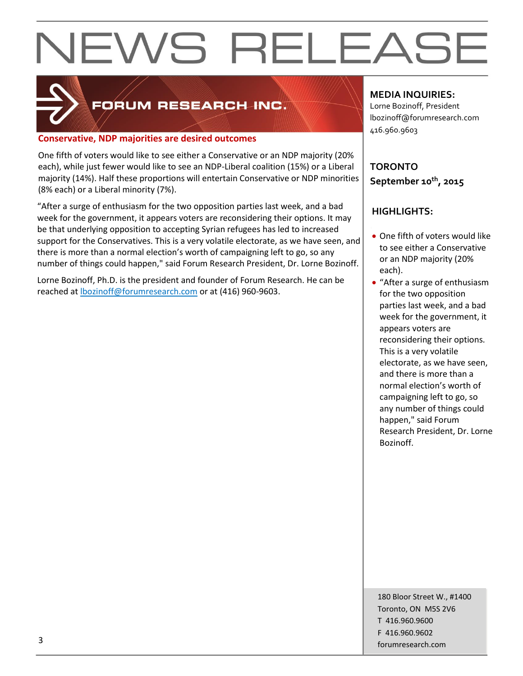

### FORUM RESEARCH INC.

### **Conservative, NDP majorities are desired outcomes**

One fifth of voters would like to see either a Conservative or an NDP majority (20% each), while just fewer would like to see an NDP-Liberal coalition (15%) or a Liberal majority (14%). Half these proportions will entertain Conservative or NDP minorities (8% each) or a Liberal minority (7%).

"After a surge of enthusiasm for the two opposition parties last week, and a bad week for the government, it appears voters are reconsidering their options. It may be that underlying opposition to accepting Syrian refugees has led to increased support for the Conservatives. This is a very volatile electorate, as we have seen, and there is more than a normal election's worth of campaigning left to go, so any number of things could happen," said Forum Research President, Dr. Lorne Bozinoff.

Lorne Bozinoff, Ph.D. is the president and founder of Forum Research. He can be reached at [lbozinoff@forumresearch.com](mailto:lbozinoff@forumresearch.com) or at (416) 960-9603.

### **MEDIA INQUIRIES:**

Lorne Bozinoff, President lbozinoff@forumresearch.com 416.960.9603

### **TORONTO September 10th, 2015**

### **HIGHLIGHTS:**

- One fifth of voters would like to see either a Conservative or an NDP majority (20% each).
- "After a surge of enthusiasm for the two opposition parties last week, and a bad week for the government, it appears voters are reconsidering their options. This is a very volatile electorate, as we have seen, and there is more than a normal election's worth of campaigning left to go, so any number of things could happen," said Forum Research President, Dr. Lorne Bozinoff.

180 Bloor Street W., #1400 Toronto, ON M5S 2V6 T 416.960.9600 F 416.960.9602 forumresearch.com and the set of the set of the set of the set of the set of the set of the set of the set of the set of the set of the set of the set of the set of the set of the set of the set of the set of the set of th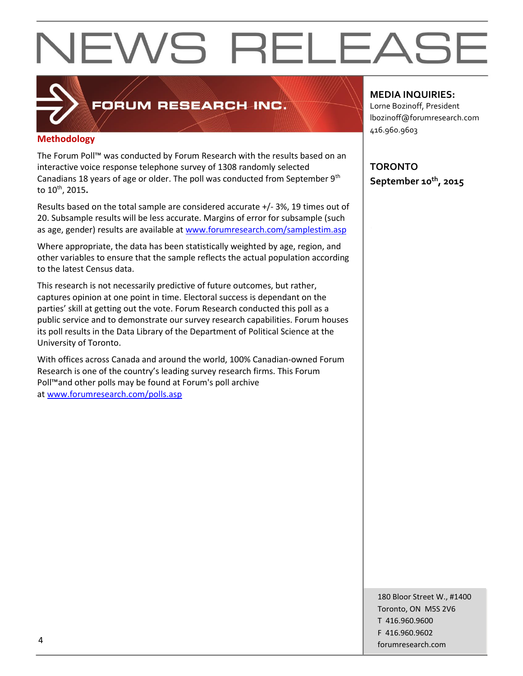### FORUM RESEARCH INC.

### **Methodology**

The Forum Poll™ was conducted by Forum Research with the results based on an interactive voice response telephone survey of 1308 randomly selected Canadians 18 years of age or older. The poll was conducted from September 9<sup>th</sup> to 10th, 2015**.**

Results based on the total sample are considered accurate +/- 3%, 19 times out of 20. Subsample results will be less accurate. Margins of error for subsample (such as age, gender) results are available at [www.forumresearch.com/samplestim.asp](http://www.forumresearch.com/samplestim.asp)

Where appropriate, the data has been statistically weighted by age, region, and other variables to ensure that the sample reflects the actual population according to the latest Census data.

This research is not necessarily predictive of future outcomes, but rather, captures opinion at one point in time. Electoral success is dependant on the parties' skill at getting out the vote. Forum Research conducted this poll as a public service and to demonstrate our survey research capabilities. Forum houses its poll results in the Data Library of the Department of Political Science at the University of Toronto.

With offices across Canada and around the world, 100% Canadian-owned Forum Research is one of the country's leading survey research firms. This Forum Poll™and other polls may be found at Forum's poll archive at [www.forumresearch.com/polls.asp](http://www.forumresearch.com/polls.asp)

**MEDIA INQUIRIES:**

Lorne Bozinoff, President lbozinoff@forumresearch.com 416.960.9603

**TORONTO September 10th, 2015**

180 Bloor Street W., #1400 Toronto, ON M5S 2V6 T 416.960.9600 F 416.960.9602 example to the contract of the contract of the contract of the contract of the contract of the contract of the contract of the contract of the contract of the contract of the contract of the contract of the contract of the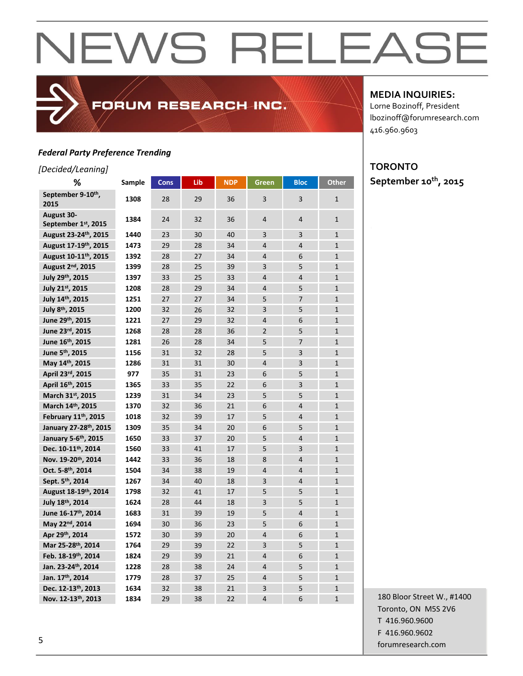### *Federal Party Preference Trending*

#### *[Decided/Leaning]*

| %                                        | Sample | <b>Cons</b> | Lib | <b>NDP</b> | <b>Green</b>   | <b>Bloc</b>    | <b>Other</b>   |
|------------------------------------------|--------|-------------|-----|------------|----------------|----------------|----------------|
| September 9-10th,<br>2015                | 1308   | 28          | 29  | 36         | 3              | 3              | 1              |
| <b>August 30-</b><br>September 1st, 2015 | 1384   | 24          | 32  | 36         | 4              | 4              | 1              |
| August 23-24th, 2015                     | 1440   | 23          | 30  | 40         | 3              | 3              | $\mathbf{1}$   |
| August 17-19th, 2015                     | 1473   | 29          | 28  | 34         | $\overline{4}$ | 4              | $\mathbf{1}$   |
| August 10-11 <sup>th</sup> , 2015        | 1392   | 28          | 27  | 34         | $\overline{4}$ | 6              | $\mathbf{1}$   |
| August 2 <sup>nd</sup> , 2015            | 1399   | 28          | 25  | 39         | 3              | 5              | $\mathbf{1}$   |
| July 29th, 2015                          | 1397   | 33          | 25  | 33         | $\overline{4}$ | 4              | $\mathbf{1}$   |
| July 21st, 2015                          | 1208   | 28          | 29  | 34         | $\overline{4}$ | 5              | $\overline{1}$ |
| July 14th, 2015                          | 1251   | 27          | 27  | 34         | 5              | $\overline{7}$ | $\mathbf{1}$   |
| July 8th, 2015                           | 1200   | 32          | 26  | 32         | 3              | 5              | $\mathbf{1}$   |
| June 29th, 2015                          | 1221   | 27          | 29  | 32         | $\overline{4}$ | 6              | $\mathbf{1}$   |
| June 23rd, 2015                          | 1268   | 28          | 28  | 36         | $\overline{2}$ | 5              | $\mathbf{1}$   |
| June 16th, 2015                          | 1281   | 26          | 28  | 34         | 5              | $\overline{7}$ | $\mathbf{1}$   |
| June 5 <sup>th</sup> , 2015              | 1156   | 31          | 32  | 28         | 5              | 3              | $\mathbf{1}$   |
| May 14th, 2015                           | 1286   | 31          | 31  | 30         | $\overline{4}$ | 3              | $\mathbf{1}$   |
| April 23rd, 2015                         | 977    | 35          | 31  | 23         | 6              | 5              | $\mathbf{1}$   |
| April 16th, 2015                         | 1365   | 33          | 35  | 22         | 6              | 3              | $\mathbf{1}$   |
| March 31st, 2015                         | 1239   | 31          | 34  | 23         | 5              | 5              | $\mathbf{1}$   |
| March 14th, 2015                         | 1370   | 32          | 36  | 21         | 6              | $\overline{4}$ | $\mathbf{1}$   |
| February 11th, 2015                      | 1018   | 32          | 39  | 17         | 5              | 4              | $\mathbf{1}$   |
| January 27-28th, 2015                    | 1309   | 35          | 34  | 20         | 6              | 5              | $\mathbf{1}$   |
| January 5-6th, 2015                      | 1650   | 33          | 37  | 20         | 5              | 4              | $\mathbf{1}$   |
| Dec. 10-11th, 2014                       | 1560   | 33          | 41  | 17         | 5              | 3              | $\mathbf{1}$   |
| Nov. 19-20th, 2014                       | 1442   | 33          | 36  | 18         | 8              | 4              | $\mathbf{1}$   |
| Oct. 5-8 <sup>th</sup> , 2014            | 1504   | 34          | 38  | 19         | $\overline{4}$ | $\overline{4}$ | $\mathbf{1}$   |
| Sept. 5th, 2014                          | 1267   | 34          | 40  | 18         | 3              | 4              | $\mathbf{1}$   |
| August 18-19 <sup>th</sup> , 2014        | 1798   | 32          | 41  | 17         | 5              | 5              | $\mathbf{1}$   |
| July 18th, 2014                          | 1624   | 28          | 44  | 18         | 3              | 5              | $\mathbf{1}$   |
| June 16-17 <sup>th</sup> , 2014          | 1683   | 31          | 39  | 19         | 5              | 4              | $\mathbf{1}$   |
| May 22nd, 2014                           | 1694   | 30          | 36  | 23         | 5              | 6              | $\mathbf{1}$   |
| Apr 29th, 2014                           | 1572   | 30          | 39  | 20         | $\overline{4}$ | 6              | $\mathbf{1}$   |
| Mar 25-28th, 2014                        | 1764   | 29          | 39  | 22         | 3              | 5              | $\mathbf{1}$   |
| Feb. 18-19th, 2014                       | 1824   | 29          | 39  | 21         | $\overline{4}$ | 6              | $\mathbf{1}$   |
| Jan. 23-24th, 2014                       | 1228   | 28          | 38  | 24         | $\overline{4}$ | 5              | $\mathbf{1}$   |
| Jan. 17th, 2014                          | 1779   | 28          | 37  | 25         | $\overline{4}$ | 5              | $\mathbf{1}$   |
| Dec. 12-13th, 2013                       | 1634   | 32          | 38  | 21         | 3              | 5              | $\mathbf{1}$   |
| Nov. 12-13th, 2013                       | 1834   | 29          | 38  | 22         | 4              | 6              | $\overline{1}$ |

FORUM RESEARCH INC.

### **MEDIA INQUIRIES:**

Lorne Bozinoff, President lbozinoff@forumresearch.com 416.960.9603

### **TORONTO September 10th, 2015**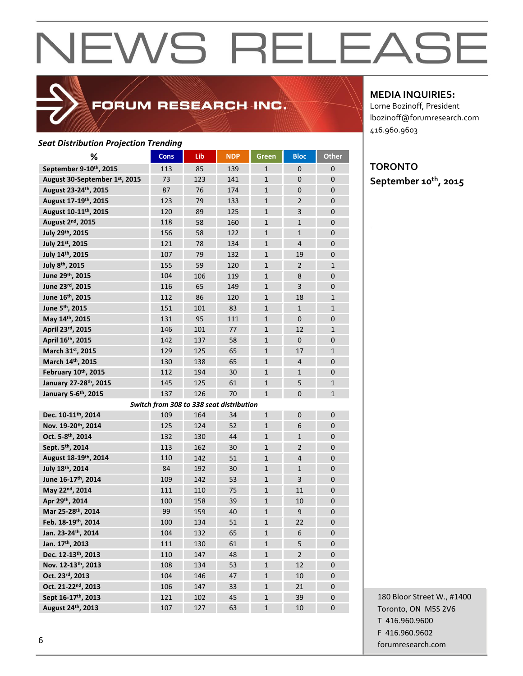### FORUM RESEARCH INC.

### *Seat Distribution Projection Trending*

| %                                 | <b>Cons</b>                              | Lib | <b>NDP</b> | <b>Green</b> | <b>Bloc</b>    | <b>Other</b>     |
|-----------------------------------|------------------------------------------|-----|------------|--------------|----------------|------------------|
| September 9-10th, 2015            | 113                                      | 85  | 139        | $\mathbf{1}$ | 0              | 0                |
| August 30-September 1st, 2015     | 73                                       | 123 | 141        | $\mathbf{1}$ | $\mathbf{0}$   | $\mathbf{0}$     |
| August 23-24th, 2015              | 87                                       | 76  | 174        | $\mathbf{1}$ | $\mathbf{0}$   | 0                |
| August 17-19th, 2015              | 123                                      | 79  | 133        | $\mathbf{1}$ | $\overline{2}$ | $\mathbf{0}$     |
| August 10-11 <sup>th</sup> , 2015 | 120                                      | 89  | 125        | $\mathbf{1}$ | 3              | $\mathbf 0$      |
| August 2 <sup>nd</sup> , 2015     | 118                                      | 58  | 160        | $\mathbf{1}$ | $\mathbf{1}$   | $\mathbf{0}$     |
| July 29th, 2015                   | 156                                      | 58  | 122        | $\mathbf{1}$ | $\mathbf{1}$   | 0                |
| July 21st, 2015                   | 121                                      | 78  | 134        | $\mathbf{1}$ | $\overline{4}$ | 0                |
| July 14th, 2015                   | 107                                      | 79  | 132        | $\mathbf{1}$ | 19             | $\mathbf{0}$     |
| July 8 <sup>th</sup> , 2015       | 155                                      | 59  | 120        | $\mathbf{1}$ | $\overline{2}$ | $\mathbf{1}$     |
| June 29th, 2015                   | 104                                      | 106 | 119        | $\mathbf{1}$ | 8              | $\mathbf 0$      |
| June 23rd, 2015                   | 116                                      | 65  | 149        | $\mathbf{1}$ | 3              | 0                |
| June 16th, 2015                   | 112                                      | 86  | 120        | $\mathbf{1}$ | 18             | $\mathbf{1}$     |
| June 5 <sup>th</sup> , 2015       | 151                                      | 101 | 83         | $\mathbf{1}$ | $\mathbf{1}$   | $\mathbf{1}$     |
| May 14th, 2015                    | 131                                      | 95  | 111        | $\mathbf{1}$ | $\mathbf{0}$   | $\mathbf{0}$     |
| April 23rd, 2015                  | 146                                      | 101 | 77         | $\mathbf{1}$ | 12             | $\mathbf{1}$     |
| April 16 <sup>th</sup> , 2015     | 142                                      | 137 | 58         | $\mathbf{1}$ | $\mathbf{0}$   | 0                |
| March 31st, 2015                  | 129                                      | 125 | 65         | $\mathbf{1}$ | 17             | $\mathbf{1}$     |
| March 14th, 2015                  | 130                                      | 138 | 65         | $\mathbf{1}$ | $\overline{4}$ | 0                |
| February 10th, 2015               | 112                                      | 194 | 30         | $\mathbf{1}$ | $\mathbf{1}$   | $\mathbf{0}$     |
| January 27-28th, 2015             | 145                                      | 125 | 61         | $\mathbf{1}$ | 5              | $\mathbf{1}$     |
| January 5-6th, 2015               | 137                                      | 126 | 70         | $\mathbf{1}$ | $\mathbf{0}$   | $\mathbf{1}$     |
|                                   | Switch from 308 to 338 seat distribution |     |            |              |                |                  |
| Dec. 10-11 <sup>th</sup> , 2014   | 109                                      | 164 | 34         | $\mathbf{1}$ | $\mathbf{0}$   | $\mathbf{0}$     |
| Nov. 19-20th, 2014                | 125                                      | 124 | 52         | $\mathbf{1}$ | 6              | $\mathbf{0}$     |
| Oct. 5-8th, 2014                  | 132                                      | 130 | 44         | $\mathbf{1}$ | $\mathbf{1}$   | $\mathbf{0}$     |
| Sept. 5 <sup>th</sup> , 2014      | 113                                      | 162 | 30         | $\mathbf{1}$ | $\overline{2}$ | $\mathbf 0$      |
| August 18-19th, 2014              | 110                                      | 142 | 51         | $\mathbf{1}$ | 4              | 0                |
| July 18th, 2014                   | 84                                       | 192 | 30         | $\mathbf{1}$ | $\mathbf{1}$   | 0                |
| June 16-17th, 2014                | 109                                      | 142 | 53         | $\mathbf{1}$ | 3              | $\mathbf{0}$     |
| May 22nd, 2014                    | 111                                      | 110 | 75         | $\mathbf{1}$ | 11             | $\mathbf{0}$     |
| Apr 29th, 2014                    | 100                                      | 158 | 39         | $\mathbf{1}$ | 10             | $\mathbf{0}$     |
| Mar 25-28th, 2014                 | 99                                       | 159 | 40         | $\mathbf{1}$ | 9              | $\mathbf{0}$     |
| Feb. 18-19th, 2014                | 100                                      | 134 | 51         | $\mathbf{1}$ | 22             | 0                |
| Jan. 23-24 <sup>th</sup> , 2014   | 104                                      | 132 | 65         | $\mathbf{1}$ | 6              | 0                |
| Jan. 17th, 2013                   | 111                                      | 130 | 61         | $\mathbf{1}$ | 5              | $\mathbf 0$      |
| Dec. 12-13th, 2013                | 110                                      | 147 | 48         | $\mathbf{1}$ | $\overline{2}$ | $\pmb{0}$        |
| Nov. 12-13th, 2013                | 108                                      | 134 | 53         | $\mathbf{1}$ | 12             | $\pmb{0}$        |
| Oct. 23rd, 2013                   | 104                                      | 146 | 47         | $\mathbf{1}$ | 10             | 0                |
| Oct. 21-22 <sup>nd</sup> , 2013   | 106                                      | 147 | 33         | $\mathbf{1}$ | 21             | 0                |
| Sept 16-17th, 2013                | 121                                      | 102 | 45         | $\mathbf{1}$ | 39             | $\mathbf 0$      |
| August 24th, 2013                 | 107                                      | 127 | 63         | $\mathbf 1$  | 10             | $\boldsymbol{0}$ |

**MEDIA INQUIRIES:**

Lorne Bozinoff, President lbozinoff@forumresearch.com 416.960.9603

### **TORONTO September 10th, 2015**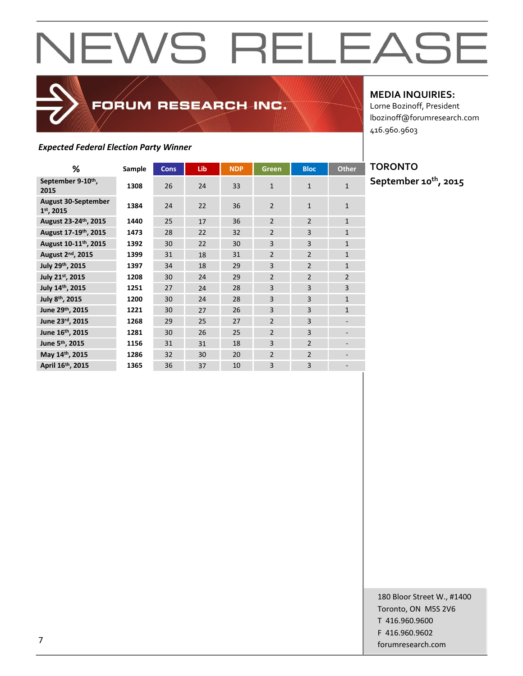### FORUM RESEARCH INC.

### **MEDIA INQUIRIES:**

Lorne Bozinoff, President lbozinoff@forumresearch.com 416.960.9603

### *Expected Federal Election Party Winner*

| %                                       | Sample | <b>Cons</b> | Lib | <b>NDP</b> | Green          | <b>Bloc</b>    | <b>Other</b>   |
|-----------------------------------------|--------|-------------|-----|------------|----------------|----------------|----------------|
| September 9-10th,<br>2015               | 1308   | 26          | 24  | 33         | $\mathbf{1}$   | $\mathbf{1}$   | $\mathbf{1}$   |
| <b>August 30-September</b><br>1st, 2015 | 1384   | 24          | 22  | 36         | $\overline{2}$ | $\mathbf{1}$   | $\mathbf{1}$   |
| August 23-24th, 2015                    | 1440   | 25          | 17  | 36         | $\overline{2}$ | $\overline{2}$ | $\mathbf{1}$   |
| August 17-19th, 2015                    | 1473   | 28          | 22  | 32         | $\overline{2}$ | $\overline{3}$ | $\mathbf{1}$   |
| August 10-11 <sup>th</sup> , 2015       | 1392   | 30          | 22  | 30         | $\overline{3}$ | $\overline{3}$ | $\mathbf{1}$   |
| August 2 <sup>nd</sup> , 2015           | 1399   | 31          | 18  | 31         | $\overline{2}$ | $\overline{2}$ | $\mathbf{1}$   |
| July 29th, 2015                         | 1397   | 34          | 18  | 29         | 3              | $\overline{2}$ | $\mathbf{1}$   |
| July 21st, 2015                         | 1208   | 30          | 24  | 29         | $\overline{2}$ | $\overline{2}$ | $\overline{2}$ |
| July 14th, 2015                         | 1251   | 27          | 24  | 28         | $\overline{3}$ | $\overline{3}$ | $\overline{3}$ |
| July 8 <sup>th</sup> , 2015             | 1200   | 30          | 24  | 28         | 3              | 3              | $\mathbf{1}$   |
| June 29th, 2015                         | 1221   | 30          | 27  | 26         | 3              | 3              | $\mathbf{1}$   |
| June 23rd, 2015                         | 1268   | 29          | 25  | 27         | $\overline{2}$ | $\overline{3}$ |                |
| June 16th, 2015                         | 1281   | 30          | 26  | 25         | $\overline{2}$ | 3              |                |
| June 5 <sup>th</sup> , 2015             | 1156   | 31          | 31  | 18         | 3              | $\overline{2}$ |                |
| May 14th, 2015                          | 1286   | 32          | 30  | 20         | $\overline{2}$ | $\overline{2}$ |                |
| April 16th, 2015                        | 1365   | 36          | 37  | 10         | 3              | 3              |                |

**TORONTO September 10th, 2015**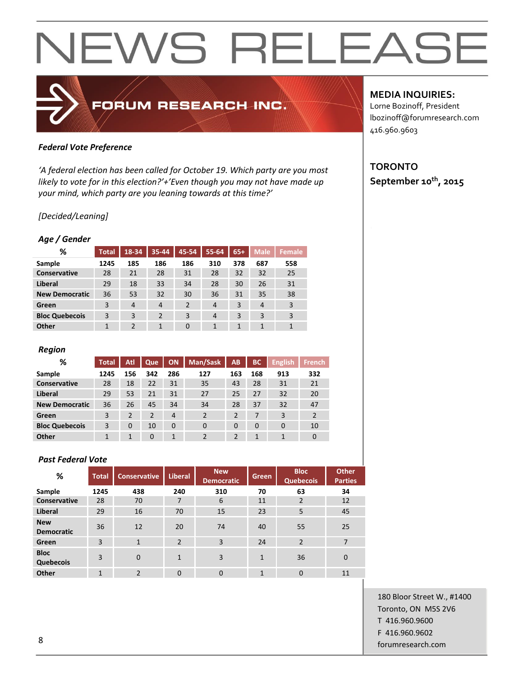### FORUM RESEARCH INC.

### *Federal Vote Preference*

*'A federal election has been called for October 19. Which party are you most likely to vote for in this election?'+'Even though you may not have made up your mind, which party are you leaning towards at this time?'*

### *[Decided/Leaning]*

### *Age / Gender*

| %                     | Total | 18-34          | 35-44          | 45-54          | 55-64 | $65+$ | Male           | Female |
|-----------------------|-------|----------------|----------------|----------------|-------|-------|----------------|--------|
| Sample                | 1245  | 185            | 186            | 186            | 310   | 378   | 687            | 558    |
| <b>Conservative</b>   | 28    | 21             | 28             | 31             | 28    | 32    | 32             | 25     |
| Liberal               | 29    | 18             | 33             | 34             | 28    | 30    | 26             | 31     |
| <b>New Democratic</b> | 36    | 53             | 32             | 30             | 36    | 31    | 35             | 38     |
| Green                 | 3     | $\overline{4}$ | 4              | $\overline{2}$ | 4     | 3     | $\overline{4}$ | 3      |
| <b>Bloc Quebecois</b> | 3     | 3              | $\overline{2}$ | 3              | 4     | 3     | 3              | 3      |
| Other                 | 1     | $\overline{2}$ | 1              | $\Omega$       | 1     | 1     | 1              |        |

### *Region*

| ℅                     | <b>Total</b> | Atl            | Que           | ON             | Man/Sask | AB                       | <b>BC</b> | <b>English</b> | <b>French</b>  |
|-----------------------|--------------|----------------|---------------|----------------|----------|--------------------------|-----------|----------------|----------------|
| Sample                | 1245         | 156            | 342           | 286            | 127      | 163                      | 168       | 913            | 332            |
| <b>Conservative</b>   | 28           | 18             | 22            | 31             | 35       | 43                       | 28        | 31             | 21             |
| Liberal               | 29           | 53             | 21            | 31             | 27       | 25                       | 27        | 32             | 20             |
| <b>New Democratic</b> | 36           | 26             | 45            | 34             | 34       | 28                       | 37        | 32             | 47             |
| Green                 | 3            | $\overline{2}$ | $\mathcal{P}$ | $\overline{4}$ | 2        | $\overline{2}$           | 7         | 3              | $\overline{2}$ |
| <b>Bloc Quebecois</b> | 3            | $\Omega$       | 10            | 0              | $\Omega$ | $\Omega$                 | $\Omega$  | 0              | 10             |
| Other                 | 1            |                | $\Omega$      | 1              | っ        | $\overline{\phantom{a}}$ | 1         |                | 0              |

### *Past Federal Vote*

| %                               | Total        | Conservative   | <b>Liberal</b> | <b>New</b><br><b>Democratic</b> | <b>Green</b>   | <b>Bloc</b><br><b>Quebecois</b> | <b>Other</b><br><b>Parties</b> |
|---------------------------------|--------------|----------------|----------------|---------------------------------|----------------|---------------------------------|--------------------------------|
| Sample                          | 1245         | 438            | 240            | 310                             | 70             | 63                              | 34                             |
| Conservative                    | 28           | 70             | 7              | 6                               | 11             | $\overline{2}$                  | 12                             |
| <b>Liberal</b>                  | 29           | 16             | 70             | 15                              | 23             | 5                               | 45                             |
| <b>New</b><br><b>Democratic</b> | 36           | 12             | 20             | 74                              | 40             | 55                              | 25                             |
| Green                           | 3            | $\mathbf{1}$   | $\overline{2}$ | 3                               | 24             | $\overline{2}$                  | 7                              |
| <b>Bloc</b><br>Quebecois        | 3            | $\overline{0}$ | $\mathbf{1}$   | 3                               | $\mathbf{1}$   | 36                              | $\mathbf 0$                    |
| Other                           | $\mathbf{1}$ | $\overline{2}$ | $\mathbf{0}$   | $\mathbf{0}$                    | $\overline{1}$ | $\mathbf 0$                     | 11                             |

### **MEDIA INQUIRIES:**

Lorne Bozinoff, President lbozinoff@forumresearch.com 416.960.9603

### **TORONTO September 10th, 2015**

180 Bloor Street W., #1400 Toronto, ON M5S 2V6 T 416.960.9600 F 416.960.9602 end to the state of the state of the state of the state of the state of the state of the state of the state of the state of the state of the state of the state of the state of the state of the state of the state of the sta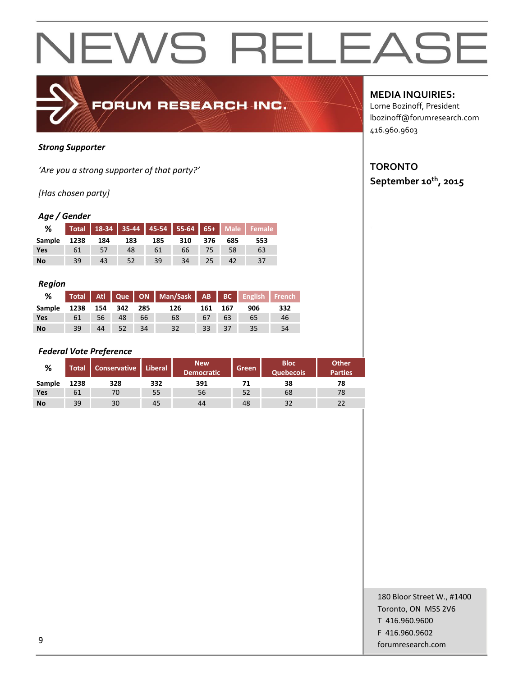

### *Strong Supporter*

*'Are you a strong supporter of that party?'*

*[Has chosen party]*

### *Age / Gender*

| %           |    |     |     |     |     |     |     | Total   18-34   35-44   45-54   55-64   65+   Male   Female |
|-------------|----|-----|-----|-----|-----|-----|-----|-------------------------------------------------------------|
| Sample 1238 |    | 184 | 183 | 185 | 310 | 376 | 685 | 553                                                         |
| <b>Yes</b>  | 61 |     | 48  | 61  | 66  |     |     | 63                                                          |
| <b>No</b>   | 39 |     |     | 39  | 34  | 25  |     | 37                                                          |

#### *Region*

| %             |                  |    |    |    | Total Atl Que ON Man/Sask AB BC English French |       |     |     |     |
|---------------|------------------|----|----|----|------------------------------------------------|-------|-----|-----|-----|
| <b>Sample</b> | 1238 154 342 285 |    |    |    | 126                                            | 161   | 167 | 906 | 332 |
| <b>Yes</b>    | 61               | 56 | 48 | 66 | 68                                             | 67    | 63  | 65  | 46  |
| <b>No</b>     | 39               | 44 |    | 34 | 32                                             | 33 37 |     | 35  | 54  |

### *Federal Vote Preference*

| %         | <b>Total</b> | <b>Conservative</b> | <b>Liberal</b> | <b>New</b><br>Democratic | Green | <b>Bloc</b><br><b>Quebecois</b> | <b>Other</b><br><b>Parties</b> |
|-----------|--------------|---------------------|----------------|--------------------------|-------|---------------------------------|--------------------------------|
| Sample    | 1238         | 328                 | 332            | 391                      |       | 38                              | 78                             |
| Yes       | 61           | 70                  | 55             | 56                       | 52    | 68                              | 78                             |
| <b>No</b> | 39           | 30                  | 45             | 44                       | 48    | 32                              | 22                             |

### **MEDIA INQUIRIES:**

Lorne Bozinoff, President lbozinoff@forumresearch.com 416.960.9603

### **TORONTO September 10th, 2015**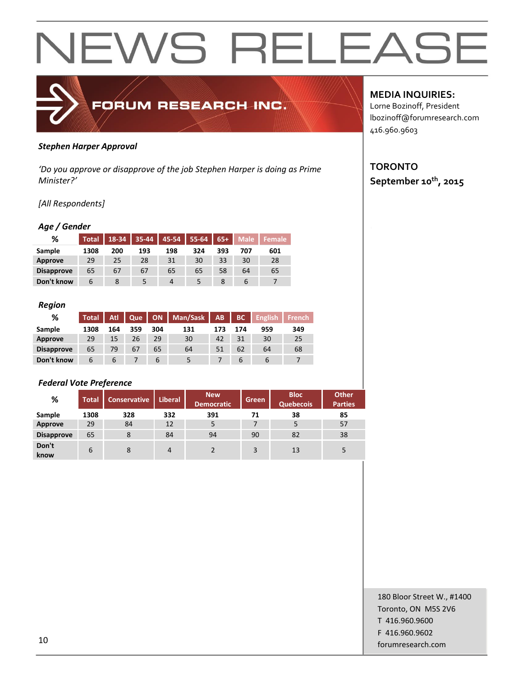

#### *Stephen Harper Approval*

*'Do you approve or disapprove of the job Stephen Harper is doing as Prime Minister?'*

### *[All Respondents]*

#### *Age / Gender*

| ℅                 | <b>Total</b> | 18-34 | $35 - 44$ | $45-54$ | $55-64$ | $65+$ | <b>Male</b> | Female |
|-------------------|--------------|-------|-----------|---------|---------|-------|-------------|--------|
| Sample            | 1308         | 200   | 193       | 198     | 324     | 393   | 707         | 601    |
| Approve           | 29           | 25    | 28        | 31      | 30      | 33    | 30          | 28     |
| <b>Disapprove</b> | 65           | 67    | 67        | 65      | 65      | 58    | 64          | 65     |
| Don't know        |              |       |           | 4       |         |       |             |        |

#### *Region*

| %                 | <b>Total</b> | <b>Atl</b>    | Que |     | ON   Man/Sask   AB |     | BC  | <b>English</b> | <b>French</b> |
|-------------------|--------------|---------------|-----|-----|--------------------|-----|-----|----------------|---------------|
| Sample            | 1308         | 164           | 359 | 304 | 131                | 173 | 174 | 959            | 349           |
| Approve           | 29           | 15            | 26  | 29  | 30                 | 42  | 31  | 30             | 25            |
| <b>Disapprove</b> | 65           | 79            | 67  | 65  | 64                 | 51  | 62  | 64             | 68            |
| Don't know        | 6            | $\mathfrak b$ |     | 6   |                    |     |     | b              |               |

### *Federal Vote Preference*

| %                 | <b>Total</b> | <b>Conservative</b> | <b>Liberal</b> | <b>New</b><br><b>Democratic</b> | Green | <b>Bloc</b><br><b>Quebecois</b> | <b>Other</b><br><b>Parties</b> |
|-------------------|--------------|---------------------|----------------|---------------------------------|-------|---------------------------------|--------------------------------|
| Sample            | 1308         | 328                 | 332            | 391                             | 71    | 38                              | 85                             |
| <b>Approve</b>    | 29           | 84                  | 12             | 5                               |       |                                 | 57                             |
| <b>Disapprove</b> | 65           | 8                   | 84             | 94                              | 90    | 82                              | 38                             |
| Don't<br>know     | 6            | 8                   | 4              |                                 | 3     | 13                              | 5                              |

### **MEDIA INQUIRIES:**

Lorne Bozinoff, President lbozinoff@forumresearch.com 416.960.9603

### **TORONTO September 10th, 2015**

180 Bloor Street W., #1400 Toronto, ON M5S 2V6 T 416.960.9600 F 416.960.9602 for the set of the set of the set of the set of the set of the set of the set of the set of the set of the set of the set of the set of the set of the set of the set of the set of the set of the set of the set of the set o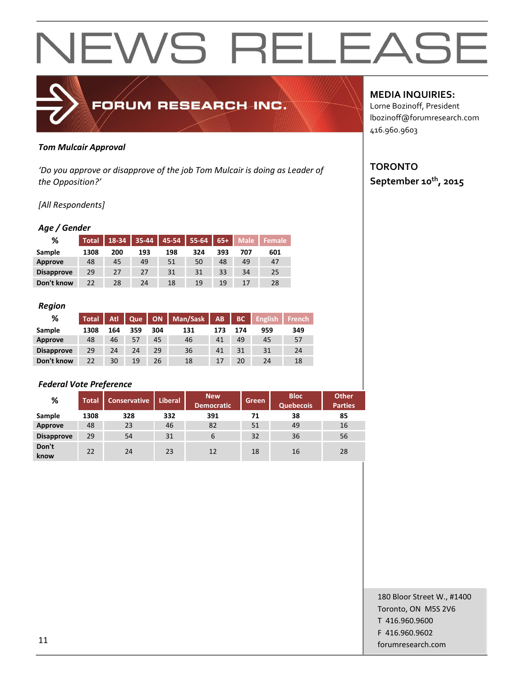

### *Tom Mulcair Approval*

*'Do you approve or disapprove of the job Tom Mulcair is doing as Leader of the Opposition?'*

### *[All Respondents]*

### *Age / Gender*

| %                 | <b>Total</b> | 18-34 | $35 - 44$ | $45-54$ 55-64 |     | $65+$ | <b>Male</b> | <b>Female</b> |
|-------------------|--------------|-------|-----------|---------------|-----|-------|-------------|---------------|
| Sample            | 1308         | 200   | 193       | 198           | 324 | 393   | 707         | 601           |
| Approve           | 48           | 45    | 49        | 51            | 50  | 48    | 49          | 47            |
| <b>Disapprove</b> | 29           | 27    | 27        | 31            | 31  | 33    | 34          | 25            |
| Don't know        | 22           | 28    | 24        | 18            | 19  | 19    |             | 28            |

### *Region*

| %                 | <b>Total</b> | Atl | Que |     | ON   Man/Sask | AB. | BC  | English | <b>French</b> |
|-------------------|--------------|-----|-----|-----|---------------|-----|-----|---------|---------------|
| Sample            | 1308         | 164 | 359 | 304 | 131           | 173 | 174 | 959     | 349           |
| Approve           | 48           | 46  | 57  | 45  | 46            | 41  | 49  | 45      | 57            |
| <b>Disapprove</b> | 29           | 24  | 24  | 29  | 36            | 41  | 31  | 31      | 24            |
| Don't know        | 22           | 30  | 19  | 26  | 18            | 17  | 20  | 24      | 18            |

### *Federal Vote Preference*

| %                 | <b>Total</b> | <b>Conservative</b> | <b>Liberal</b> | <b>New</b><br><b>Democratic</b> | Green | <b>Bloc</b><br><b>Quebecois</b> | Other<br><b>Parties</b> |
|-------------------|--------------|---------------------|----------------|---------------------------------|-------|---------------------------------|-------------------------|
| Sample            | 1308         | 328                 | 332            | 391                             | 71    | 38                              | 85                      |
| <b>Approve</b>    | 48           | 23                  | 46             | 82                              | 51    | 49                              | 16                      |
| <b>Disapprove</b> | 29           | 54                  | 31             | 6                               | 32    | 36                              | 56                      |
| Don't<br>know     | 22           | 24                  | 23             | 12                              | 18    | 16                              | 28                      |

### **MEDIA INQUIRIES:**

Lorne Bozinoff, President lbozinoff@forumresearch.com 416.960.9603

### **TORONTO September 10th, 2015**

180 Bloor Street W., #1400 Toronto, ON M5S 2V6 T 416.960.9600 F 416.960.9602 for the contract of the contract of the contract of the contract of the contract of the contract of the contract of the contract of the contract of the contract of the contract of the contract of the contract of the contra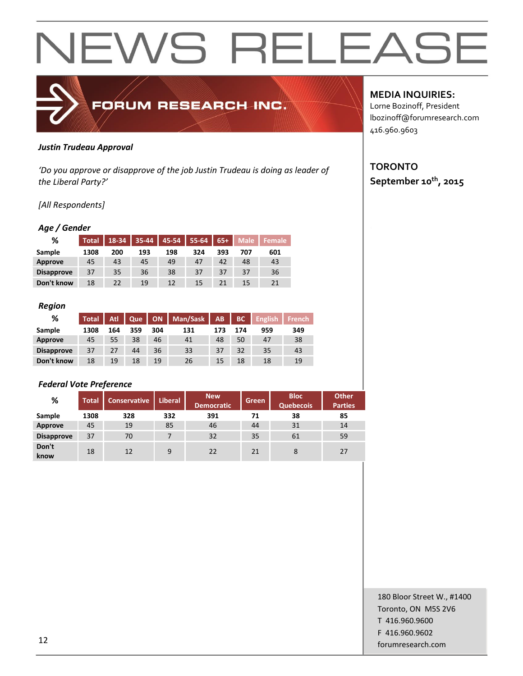

### *Justin Trudeau Approval*

*'Do you approve or disapprove of the job Justin Trudeau is doing as leader of the Liberal Party?'*

### *[All Respondents]*

### *Age / Gender*

| %                 | <b>Total</b> | 18-34 |     | $35-44$ 45-54 | 55-64 | $65+$ | <b>Male</b>     | <b>Female</b> |
|-------------------|--------------|-------|-----|---------------|-------|-------|-----------------|---------------|
| Sample            | 1308         | 200   | 193 | 198           | 324   | 393   | 707             | 601           |
| Approve           | 45           | 43    | 45  | 49            | 47    | 42    | 48              | 43            |
| <b>Disapprove</b> | 37           | 35    | 36  | 38            | 37    | 37    | 37              | 36            |
| Don't know        | 18           | 22    | 19  | 12            | 15    | 21    | 15 <sub>1</sub> | 21            |

#### *Region*

| %                 | <b>Total</b> | <b>Atl</b> | Que |     | ON   Man/Sask | AB  | BC  | <b>English</b> | <b>French</b> |
|-------------------|--------------|------------|-----|-----|---------------|-----|-----|----------------|---------------|
| Sample            | 1308         | 164        | 359 | 304 | 131           | 173 | 174 | 959            | 349           |
| Approve           | 45           | 55         | 38  | 46  | 41            | 48  | 50  | 47             | 38            |
| <b>Disapprove</b> | 37           | 27         | 44  | 36  | 33            | 37  | 32  | 35             | 43            |
| Don't know        | 18           | 19         | 18  | 19  | 26            | 15  | 18  | 18             | 19            |

### *Federal Vote Preference*

| %                 | <b>Total</b> | Conservative | <b>Liberal</b> | <b>New</b><br><b>Democratic</b> | Green | <b>Bloc</b><br><b>Quebecois</b> | Other<br><b>Parties</b> |
|-------------------|--------------|--------------|----------------|---------------------------------|-------|---------------------------------|-------------------------|
| Sample            | 1308         | 328          | 332            | 391                             | 71    | 38                              | 85                      |
| Approve           | 45           | 19           | 85             | 46                              | 44    | 31                              | 14                      |
| <b>Disapprove</b> | 37           | 70           |                | 32                              | 35    | 61                              | 59                      |
| Don't<br>know     | 18           | 12           | 9              | 22                              | 21    | 8                               | 27                      |

### **MEDIA INQUIRIES:**

Lorne Bozinoff, President lbozinoff@forumresearch.com 416.960.9603

### **TORONTO September 10th, 2015**

180 Bloor Street W., #1400 Toronto, ON M5S 2V6 T 416.960.9600 F 416.960.9602 for the contract of the contract of the contract of the contract of the contract of the contract of the contract of the contract of the contract of the contract of the contract of the contract of the contract of the contra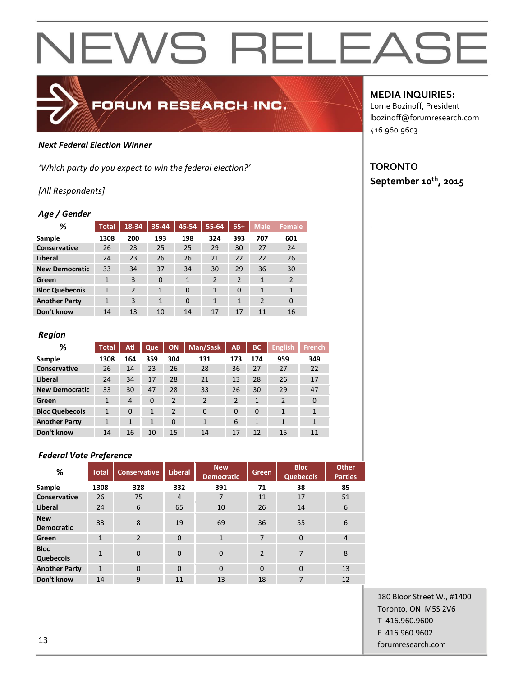

#### *Next Federal Election Winner*

*'Which party do you expect to win the federal election?'*

### *[All Respondents]*

#### *Age / Gender*

| %                     | <b>Total</b> | $18 - 34$      | 35-44          | 45-54        | 55-64          | $65+$          | <b>Male</b>    | <b>Female</b> |
|-----------------------|--------------|----------------|----------------|--------------|----------------|----------------|----------------|---------------|
| Sample                | 1308         | 200            | 193            | 198          | 324            | 393            | 707            | 601           |
| Conservative          | 26           | 23             | 25             | 25           | 29             | 30             | 27             | 24            |
| Liberal               | 24           | 23             | 26             | 26           | 21             | 22             | 22             | 26            |
| <b>New Democratic</b> | 33           | 34             | 37             | 34           | 30             | 29             | 36             | 30            |
| Green                 | $\mathbf{1}$ | 3              | $\Omega$       | $\mathbf{1}$ | $\overline{2}$ | $\overline{2}$ | $\mathbf{1}$   | 2             |
| <b>Bloc Quebecois</b> | $\mathbf{1}$ | $\overline{2}$ | $\mathbf{1}$   | $\Omega$     | 1              | $\Omega$       | 1              | $\mathbf{1}$  |
| <b>Another Party</b>  | $\mathbf{1}$ | 3              | $\overline{1}$ | $\Omega$     | $\mathbf{1}$   | $\overline{1}$ | $\overline{2}$ | $\Omega$      |
| Don't know            | 14           | 13             | 10             | 14           | 17             | 17             | 11             | 16            |

#### *Region*

| %                     | <b>Total</b> | Atl            | Que      | ON             | Man/Sask     | AB             | <b>BC</b>    | <b>English</b> | French       |
|-----------------------|--------------|----------------|----------|----------------|--------------|----------------|--------------|----------------|--------------|
| Sample                | 1308         | 164            | 359      | 304            | 131          | 173            | 174          | 959            | 349          |
| <b>Conservative</b>   | 26           | 14             | 23       | 26             | 28           | 36             | 27           | 27             | 22           |
| Liberal               | 24           | 34             | 17       | 28             | 21           | 13             | 28           | 26             | 17           |
| <b>New Democratic</b> | 33           | 30             | 47       | 28             | 33           | 26             | 30           | 29             | 47           |
| Green                 | 1            | $\overline{4}$ | $\Omega$ | $\overline{2}$ | 2            | $\overline{2}$ | $\mathbf{1}$ | $\overline{2}$ | $\mathbf 0$  |
| <b>Bloc Quebecois</b> | 1            | $\Omega$       | 1        | $\overline{2}$ | $\Omega$     | 0              | $\Omega$     | $\mathbf{1}$   | $\mathbf{1}$ |
| <b>Another Party</b>  | $\mathbf{1}$ | 1              | 1        | $\Omega$       | $\mathbf{1}$ | 6              | $\mathbf{1}$ | 1              | $\mathbf{1}$ |
| Don't know            | 14           | 16             | 10       | 15             | 14           | 17             | 12           | 15             | 11           |

### *Federal Vote Preference*

| %                               | <b>Total</b> | <b>Conservative</b> | <b>Liberal</b> | <b>New</b><br><b>Democratic</b> | <b>Green</b>   | <b>Bloc</b><br><b>Quebecois</b> | <b>Other</b><br><b>Parties</b> |
|---------------------------------|--------------|---------------------|----------------|---------------------------------|----------------|---------------------------------|--------------------------------|
| Sample                          | 1308         | 328                 | 332            | 391                             | 71             | 38                              | 85                             |
| <b>Conservative</b>             | 26           | 75                  | 4              | 7                               | 11             | 17                              | 51                             |
| <b>Liberal</b>                  | 24           | 6                   | 65             | 10                              | 26             | 14                              | 6                              |
| <b>New</b><br><b>Democratic</b> | 33           | 8                   | 19             | 69                              | 36             | 55                              | 6                              |
| Green                           | $\mathbf{1}$ | $\overline{2}$      | $\mathbf{0}$   | $\mathbf{1}$                    | 7              | $\mathbf 0$                     | $\overline{4}$                 |
| <b>Bloc</b><br>Quebecois        | $\mathbf{1}$ | $\Omega$            | $\mathbf{0}$   | $\overline{0}$                  | $\overline{2}$ | 7                               | 8                              |
| <b>Another Party</b>            | $\mathbf{1}$ | $\Omega$            | $\Omega$       | $\Omega$                        | $\Omega$       | $\mathbf{0}$                    | 13                             |
| Don't know                      | 14           | 9                   | 11             | 13                              | 18             | 7                               | 12                             |

### **MEDIA INQUIRIES:**

Lorne Bozinoff, President lbozinoff@forumresearch.com 416.960.9603

### **TORONTO September 10th, 2015**

180 Bloor Street W., #1400 Toronto, ON M5S 2V6 T 416.960.9600 F 416.960.9602 for the contract of the contract of the contract of the contract of the contract of the contract of the contract of the contract of the contract of the contract of the contract of the contract of the contract of the contra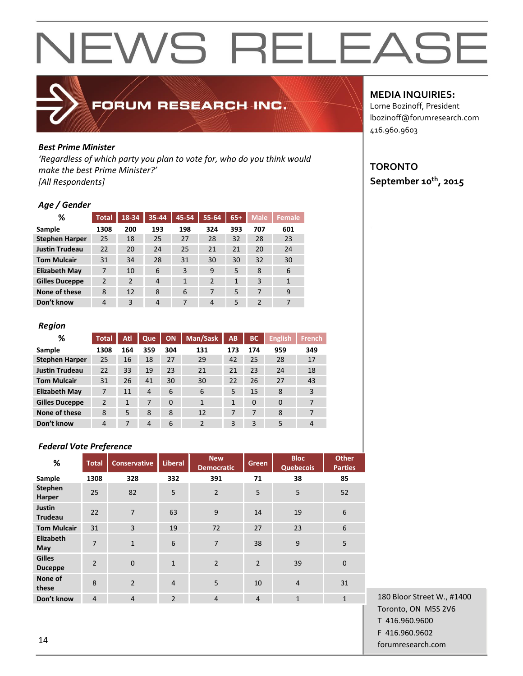

### FORUM RESEARCH INC.

### *Best Prime Minister*

*'Regardless of which party you plan to vote for, who do you think would make the best Prime Minister?' [All Respondents]*

### *Age / Gender*

| ℅                     | <b>Total</b>   | 18-34          | 35-44 | 45-54 | 55-64          | $65+$        | <b>Male</b>    | Female |
|-----------------------|----------------|----------------|-------|-------|----------------|--------------|----------------|--------|
| Sample                | 1308           | 200            | 193   | 198   | 324            | 393          | 707            | 601    |
| <b>Stephen Harper</b> | 25             | 18             | 25    | 27    | 28             | 32           | 28             | 23     |
| <b>Justin Trudeau</b> | 22             | 20             | 24    | 25    | 21             | 21           | 20             | 24     |
| <b>Tom Mulcair</b>    | 31             | 34             | 28    | 31    | 30             | 30           | 32             | 30     |
| <b>Elizabeth May</b>  | 7              | 10             | 6     | 3     | 9              | 5            | 8              | 6      |
| <b>Gilles Duceppe</b> | $\overline{2}$ | $\overline{2}$ | 4     | 1     | $\overline{2}$ | $\mathbf{1}$ | 3              | 1      |
| None of these         | 8              | 12             | 8     | 6     | 7              | 5            | 7              | 9      |
| Don't know            | 4              | 3              | 4     | 7     | 4              | 5            | $\overline{2}$ | 7      |

### *Region*

| ℅                     | <b>Total</b>   | Atl | Que            | <b>ON</b> | Man/Sask      | AB  | <b>BC</b> | <b>English</b> | <b>French</b>  |
|-----------------------|----------------|-----|----------------|-----------|---------------|-----|-----------|----------------|----------------|
| Sample                | 1308           | 164 | 359            | 304       | 131           | 173 | 174       | 959            | 349            |
| <b>Stephen Harper</b> | 25             | 16  | 18             | 27        | 29            | 42  | 25        | 28             | 17             |
| <b>Justin Trudeau</b> | 22             | 33  | 19             | 23        | 21            | 21  | 23        | 24             | 18             |
| <b>Tom Mulcair</b>    | 31             | 26  | 41             | 30        | 30            | 22  | 26        | 27             | 43             |
| <b>Elizabeth May</b>  | 7              | 11  | $\overline{4}$ | 6         | 6             | 5   | 15        | 8              | $\overline{3}$ |
| <b>Gilles Duceppe</b> | $\overline{2}$ | 1   | 7              | $\Omega$  | $\mathbf{1}$  | 1   | $\Omega$  | $\Omega$       | 7              |
| None of these         | 8              | 5   | 8              | 8         | 12            |     | 7         | 8              | 7              |
| Don't know            | 4              | 7   | $\overline{4}$ | 6         | $\mathcal{P}$ | 3   | 3         | 5              | 4              |

### *Federal Vote Preference*

| $\%$                            | <b>Total</b>   | <b>Conservative</b> | <b>Liberal</b> | <b>New</b><br><b>Democratic</b> | <b>Green</b>   | <b>Bloc</b><br><b>Quebecois</b> | <b>Other</b><br><b>Parties</b> |
|---------------------------------|----------------|---------------------|----------------|---------------------------------|----------------|---------------------------------|--------------------------------|
| Sample                          | 1308           | 328                 | 332            | 391                             | 71             | 38                              | 85                             |
| <b>Stephen</b><br>Harper        | 25             | 82                  | 5              | $\overline{2}$                  | 5              | 5                               | 52                             |
| Justin<br><b>Trudeau</b>        | 22             | $\overline{7}$      | 63             | 9                               | 14             | 19                              | 6                              |
| <b>Tom Mulcair</b>              | 31             | $\overline{3}$      | 19             | 72                              | 27             | 23                              | 6                              |
| Elizabeth<br>May                | $\overline{7}$ | $\mathbf{1}$        | 6              | $\overline{7}$                  | 38             | 9                               | 5                              |
| <b>Gilles</b><br><b>Duceppe</b> | $\overline{2}$ | $\mathbf 0$         | $\mathbf{1}$   | $\overline{2}$                  | $\overline{2}$ | 39                              | $\mathbf 0$                    |
| None of<br>these                | 8              | $\overline{2}$      | $\overline{4}$ | 5                               | 10             | $\overline{4}$                  | 31                             |
| Don't know                      | $\overline{4}$ | $\overline{4}$      | $\overline{2}$ | $\overline{4}$                  | $\overline{4}$ | $\mathbf{1}$                    | $\mathbf{1}$                   |

### **MEDIA INQUIRIES:**

Lorne Bozinoff, President lbozinoff@forumresearch.com 416.960.9603

### **TORONTO September 10th, 2015**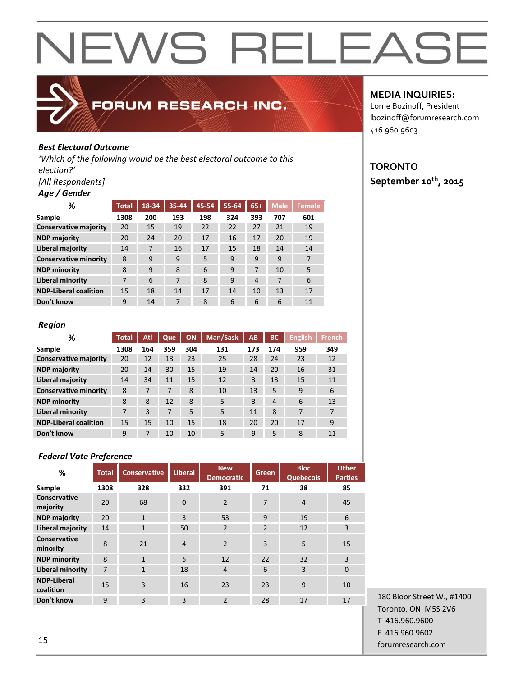

### FORUM RESEARCH INC.

### *Best Electoral Outcome*

*'Which of the following would be the best electoral outcome to this election?'*

### *[All Respondents]*

### *Age / Gender*

| ℅                            | <b>Total</b> | 18-34 | 35-44 | 45-54 | 55-64 | $65+$ | <b>Male</b> | <b>Female</b> |
|------------------------------|--------------|-------|-------|-------|-------|-------|-------------|---------------|
| Sample                       | 1308         | 200   | 193   | 198   | 324   | 393   | 707         | 601           |
| <b>Conservative majority</b> | 20           | 15    | 19    | 22    | 22    | 27    | 21          | 19            |
| <b>NDP majority</b>          | 20           | 24    | 20    | 17    | 16    | 17    | 20          | 19            |
| Liberal majority             | 14           | 7     | 16    | 17    | 15    | 18    | 14          | 14            |
| <b>Conservative minority</b> | 8            | 9     | 9     | 5     | 9     | 9     | 9           | 7             |
| <b>NDP</b> minority          | 8            | 9     | 8     | 6     | 9     | 7     | 10          | 5             |
| Liberal minority             | 7            | 6     | 7     | 8     | 9     | 4     | 7           | 6             |
| <b>NDP-Liberal coalition</b> | 15           | 18    | 14    | 17    | 14    | 10    | 13          | 17            |
| Don't know                   | 9            | 14    | 7     | 8     | 6     | 6     | 6           | 11            |

#### *Region*

| %                            | <b>Total</b> | Atl | Que | ON  | Man/Sask | AB  | <b>BC</b>      | <b>English</b> | <b>French</b> |
|------------------------------|--------------|-----|-----|-----|----------|-----|----------------|----------------|---------------|
| Sample                       | 1308         | 164 | 359 | 304 | 131      | 173 | 174            | 959            | 349           |
| <b>Conservative majority</b> | 20           | 12  | 13  | 23  | 25       | 28  | 24             | 23             | 12            |
| <b>NDP majority</b>          | 20           | 14  | 30  | 15  | 19       | 14  | 20             | 16             | 31            |
| <b>Liberal majority</b>      | 14           | 34  | 11  | 15  | 12       | 3   | 13             | 15             | 11            |
| <b>Conservative minority</b> | 8            |     | 7   | 8   | 10       | 13  | 5              | 9              | 6             |
| <b>NDP minority</b>          | 8            | 8   | 12  | 8   | 5        | 3   | $\overline{4}$ | 6              | 13            |
| Liberal minority             | 7            | 3   | 7   | 5   | 5        | 11  | 8              | 7              | 7             |
| <b>NDP-Liberal coalition</b> | 15           | 15  | 10  | 15  | 18       | 20  | 20             | 17             | 9             |
| Don't know                   | 9            | 7   | 10  | 10  | 5        | 9   | 5              | 8              | 11            |

### *Federal Vote Preference*

| %                               | <b>Total</b>   | <b>Conservative</b> | <b>Liberal</b> | <b>New</b><br><b>Democratic</b> | Green          | <b>Bloc</b><br><b>Quebecois</b> | <b>Other</b><br><b>Parties</b> |
|---------------------------------|----------------|---------------------|----------------|---------------------------------|----------------|---------------------------------|--------------------------------|
| Sample                          | 1308           | 328                 | 332            | 391                             | 71             | 38                              | 85                             |
| Conservative<br>majority        | 20             | 68                  | $\Omega$       | $\overline{2}$                  | $\overline{7}$ | $\overline{4}$                  | 45                             |
| <b>NDP</b> majority             | 20             | $\mathbf{1}$        | 3              | 53                              | 9              | 19                              | 6                              |
| Liberal majority                | 14             | $\mathbf{1}$        | 50             | $\overline{2}$                  | $\overline{2}$ | 12                              | 3                              |
| Conservative<br>minority        | 8              | 21                  | $\overline{4}$ | $\mathcal{P}$                   | 3              | 5                               | 15                             |
| <b>NDP minority</b>             | 8              | $\mathbf{1}$        | 5              | 12                              | 22             | 32                              | 3                              |
| <b>Liberal minority</b>         | $\overline{7}$ | $\mathbf{1}$        | 18             | 4                               | 6              | 3                               | $\mathbf{0}$                   |
| <b>NDP-Liberal</b><br>coalition | 15             | $\overline{3}$      | 16             | 23                              | 23             | 9                               | 10                             |
| Don't know                      | 9              | $\overline{3}$      | $\overline{3}$ | $\overline{2}$                  | 28             | 17                              | 17                             |

### **MEDIA INQUIRIES:**

Lorne Bozinoff, President lbozinoff@forumresearch.com 416.960.9603

### **TORONTO September 10th, 2015**